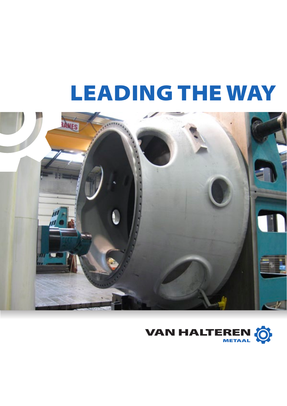## LEADING THE WAY



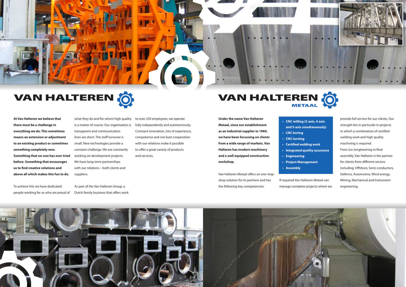Van Halteren Metaal offers an one-stopshop solution for its partners and has the following key competencies:

**and 5-axis simultaneously)**

- **• CNC milling (3-axis, 4-axis**
- **• CNC** boring
- **• CNC turning**
- **• Certified welding work**
- 
- **• Engineering**
- **• Project Management**
- **• Assembly**

**• Integrated quality assurance**

If required Van Halteren Metaal can manage complete projects where we





**At Van Halteren we believe that** what they do and for whom<br> **there must be a challenge in** is a matter of course. Our org **something completely new.**<br> **Something completely new.**<br> **Something that no-one has ever tried** Working on development pr **there must be a challenge in everything we do. This sometimes means an extension or adjustment to an existing product or sometimes something completely new. before. Something that encourages us to find creative solutions and above all which makes this fun to do.**

provide full service for our clients. Our strength lies in particular in projects in which a combination of certified welding work and high quality machining is required. From (co-)engineering to final assembly, Van Halteren is the partner for clients from different sectors including: Offshore, Semi-conductors, Defence, Automotive, Wind energy, Mining, Mechanical and Instrument engineering.

transparent and communication working on development project<br>We have long-term partnerships what they do and for whom high quality is a matter of course. Our organisation is lines are short. The staff turnover is small. New technologies provide a constant challenge. We are constantly working on development projects. with our relations – both clients and suppliers.



## VAN HALTEREN O

## VAN HALTEREN

**Under the name Van Halteren Metaal, since our establishment as an industrial supplier in 1969, we have been focussing on clients from a wide range of markets. Van Halteren has modern machinery and a well equipped construction workshop.** Under the name Van Halteren <br>Metaal, since our establishment and 5-axis simultaned and 5-axis simultaned and 5-axis simultaned and 5-axis simultaned and 5-axis simultaned and  $\frac{1}{2}$ .



To achieve this we have dedicated people working for us who are proud of As part of the Van Halteren Group, a Dutch family business that offers work to over 250 employees, we operate fully independently and autonomously. Constant innovation, lots of experience, competence and not least cooperation with our relations make it possible to offer a great variety of products and services.